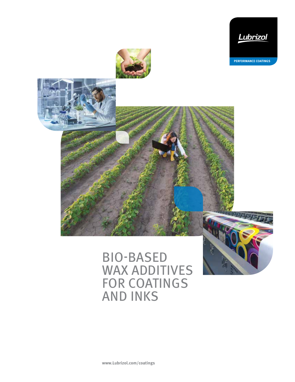

**PERFORMANCE COATINGS**





# BIO-BASED WAX ADDITIVES FOR COATINGS AND INKS



**www.Lubrizol.com/coatings**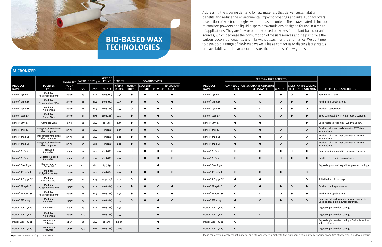| MICRONIZED                    |                                               |                                                            |             |             |                              |                 |                               |                                 |               |                                   |                               |                             |                                                                  |                |           |                                              |                                                                                  |
|-------------------------------|-----------------------------------------------|------------------------------------------------------------|-------------|-------------|------------------------------|-----------------|-------------------------------|---------------------------------|---------------|-----------------------------------|-------------------------------|-----------------------------|------------------------------------------------------------------|----------------|-----------|----------------------------------------------|----------------------------------------------------------------------------------|
|                               |                                               | MELTING<br><b>BIO-BASED PARTICLE SIZE µm</b> POINT DENSITY |             |             |                              |                 |                               | <b>COATING TYPES</b>            |               |                                   |                               | <b>PERFORMANCE BENEFITS</b> |                                                                  |                |           |                                              |                                                                                  |
| <b>PRODUCT</b><br><b>NAME</b> | <b>POLYMER</b><br><b>TYPE</b>                 | % OF<br><b>SOLIDS</b>                                      | <b>DV50</b> | <b>DV90</b> | $^{\circ}$ C ( $^{\circ}$ F) | g/cm3<br>@ 20°C | <b>WATER-</b><br><b>BORNE</b> | <b>SOLVENT-</b><br><b>BORNE</b> | <b>POWDER</b> | <b>RADIATION-</b><br><b>CURED</b> | <b>PRODUCT</b><br><b>NAME</b> | (SLIP)                      | <b>COF REDUCTION SCRATCH &amp; ABRASION</b><br><b>RESISTANCE</b> | <b>MATTING</b> | FEEL      | SILKY   ANTI-BLOCKING<br><b>NON-STICKING</b> | <b>OTHER PROPERTIES/BENEFITS</b>                                                 |
| Lanco <sup>™</sup> 1380 F     | Modified<br>Polypropylene Wax                 | $25 - 50$                                                  | ≤9          | ≤22         | 150 (302)                    | 0.95            | $\bullet$                     |                                 | $\circ$       | 0                                 | Lanco <sup>™</sup> 1380 F     | $\circ$                     |                                                                  |                | $\circ$   | 0                                            | Burnish resistance.                                                              |
| Lanco <sup>™</sup> 1380 SF    | Modified<br>Polypropylene Wax                 | $25 - 50$                                                  | ≤6          | ≤14         | 150 (302)                    | 0.95            | $\bullet$                     |                                 | $\circ$       | $\bullet$                         | Lanco <sup>™</sup> 1380 SF    | $\circ$                     | $\circ$                                                          | $\circ$        |           | $\bullet$                                    | For thin film applications.                                                      |
| Lanco <sup>™</sup> 1400 SF    | Modified<br>Amide Wax                         | $25 - 50$                                                  | ≤6          | ≤14         | 140 (284)                    | 0.97            | $\circ$                       |                                 |               | $\circ$                           | Lanco <sup>™</sup> 1400 SF    | - 0                         | $\circ$                                                          | $\circ$        | $\bullet$ | $\circ$                                      | Excellent surface feel.                                                          |
| Lanco <sup>™</sup> 1410 LF    | Modified<br>Amide Wax                         | $25 - 50$                                                  | ≤9          | $\leq 19$   | 140 (284)                    | 0.97            | $\bullet$                     |                                 |               | $\circ$                           | Lanco <sup>™</sup> 1410 LF    | $\circ$                     | $\circ$                                                          | $\circ$        |           | $\bullet$                                    | Good compatability in water-based systems.                                       |
| Lanco <sup>™</sup> 1955 SF    | Carnauba Wax                                  | ≥ 90                                                       | ≤6          | $\leq 14$   | 82 (190)                     | 0.99            | $\bullet$                     |                                 | $\circ$       | $\circ$                           | Lanco <sup>™</sup> 1955 SF    | $\bullet$                   |                                                                  |                |           | $\bullet$                                    | Good release properties. Acid value <15.                                         |
| Lanco <sup>™</sup> 2510 SF    | <b>Inorganically Modified</b><br>Wax Compound | $25 - 50$                                                  | ≤6          | $\leq 14$   | 105(221)                     | 1.05            | $\bullet$                     |                                 | $\circ$       | $\circ$                           | Lanco <sup>™</sup> 2510 SF    | $\circ$                     |                                                                  | $\circ$        |           | $\circ$                                      | Excellent abrasion resistance for PTFE-free<br>formulations.                     |
| Lanco <sup>™</sup> 2520 SF    | <b>Inorganically Modified</b><br>Wax Compound | $25 - 50$                                                  | ≤6          | ≤14         | 105(221)                     | 1.07            | $\bullet$                     |                                 | $\circ$       | $\circ$                           | Lanco <sup>™</sup> 2520 SF    | $\circ$                     |                                                                  | $\circ$        |           | $\circ$                                      | Excellent abrasion resistance for PTFE-free<br>formulations.                     |
| Lanco <sup>™</sup> 2520 EF    | <b>Inorganically Modified</b><br>Wax Compound | $25 - 50$                                                  | ≤5          | $\leq 10$   | 105(221)                     | 1.07            | $\bullet$                     |                                 | $\circ$       | $\circ$                           | Lanco <sup>™</sup> 2520 EF    | $\bullet$                   |                                                                  | $\circ$        |           | $\circ$                                      | Excellent abrasion resistance for PTFE-free<br>formulations.                     |
| Lanco <sup>™</sup> A 1602     | Fatty Acid<br>Amide Wax                       | ≥ 90                                                       | ≤9          | ≤22         | 142 (288)                    | 0.99            | $\circ$                       |                                 |               | $\circ$                           | Lanco <sup>™</sup> A 1602     | $\circ$                     | $\circ$                                                          |                | $\circ$   | $\bullet$                                    | Good sanding properties for wood coatings.                                       |
| Lanco <sup>™</sup> A $1603$   | Vegetable Based<br>Amide Wax                  | $\geq 90$                                                  | ≤6          | ≤14         | 142 (288)                    | 0.99            | $\circ$                       |                                 | - 4           | $\circ$                           | Lanco <sup>™</sup> A $1603$   | $\circ$                     | $\circ$                                                          | $\circ$        |           | $\bullet$                                    | Excellent release in can coatings.                                               |
| Lanco <sup>™</sup> Flow P 30  | Hydrogenated<br>Castor Oil                    | $\geq 90$                                                  | ≤20         | ≤80         | 87 (189)                     | 1.00            |                               |                                 |               |                                   | Lanco <sup>™</sup> Flow P 30  |                             |                                                                  |                |           |                                              | Degassing and wetting aid for powder coatings.                                   |
| Lanco <sup>™</sup> PE 1544 F  | Modified<br>Polyethelyne Wax                  | $25 - 50$                                                  | ≤9          | $\leq$ 22   | 140 (284)                    | 0.99            | $\bullet$                     |                                 | $\epsilon$    | $\circ$                           | Lanco <sup>™</sup> PE 1544 F  | $\circ$                     | $\circ$                                                          | $\bullet$      |           | $\circ$                                      |                                                                                  |
| Lanco <sup>™</sup> PE 1554 SF | Modified<br>Carnauba Wax                      | $25 - 50$                                                  | ≤6          | ≤14         | 104 (219)                    | 0.96            | $\circ$                       |                                 |               |                                   | Lanco <sup>™</sup> PE 1554 SF | $\bullet$                   |                                                                  |                |           | $\circ$                                      | Suitable for coil coatings.                                                      |
| Lanco <sup>™</sup> PP 1362 D  | Modified<br>Polypropylene Wax                 | $25 - 50$                                                  | ≤9          | $\leq$ 22   | 140 (284)                    | 0.94            | $\bullet$                     |                                 | $\circ$       | $\bullet$                         | Lanco <sup>™</sup> PP 1362 D  | $\circ$                     |                                                                  |                | $\circ$   | $\bullet$                                    | Excellent multi-purpose wax.                                                     |
| Lanco <sup>™</sup> PP 1362 SF | Modified<br>Polypropylene Wax                 | $25 - 50$                                                  | ≤6          | $\leq 14$   | 140 (284)                    | 0.94            | $\bullet$                     |                                 | $\circ$       |                                   | Lanco <sup>™</sup> PP 1362 SF | $\circ$                     | $\circ$                                                          | $\circ$        |           | $\bullet$                                    | For thin film applications.                                                      |
| Lanco <sup>™</sup> SM 2003    | Modified<br>Amide Wax                         | 25-50                                                      | ≤9          | $\leq$ 22   | 140 (284)                    | 0.97            | $\circ$                       |                                 |               | $\circ$                           | Lanco <sup>™</sup> SM 2003    | $\bullet$                   | $\circ$                                                          | $\bullet$      | $\circ$   | $\circ$                                      | Good overall performance in wood coatings.<br>Good degassing in powder coatings. |
| PowderAdd™ 9060               | Amide Wax                                     | ≥ 90                                                       | ≤9          | ≤22         | 140 (284)                    | 0.99            |                               |                                 |               |                                   | PowderAdd™ 9060               | $\circ$                     |                                                                  |                |           |                                              | Degassing in powder coatings.                                                    |
| PowderAdd <sup>™</sup> 9062   | Modified<br>Amide Wax                         | 25-50                                                      | ≤80         |             | 140 (284)                    | 0.97            |                               |                                 | $\bullet$     |                                   | PowderAdd™ 9062               | $\circ$                     | $\circ$                                                          |                |           |                                              | Degassing in powder coatings.                                                    |
| PowderAdd™ 9421               | Proprietary<br>Polymer                        | 51-89                                                      | ≤7          | ≤14         | 80 (176)                     | 0.097           |                               |                                 | - 0           |                                   | PowderAdd™ 9421               | $\circ$                     |                                                                  |                |           |                                              | Degassing in powder coatings. Suitable for low<br>bake systems.                  |
| PowderAdd™ 9423               | Proprietary<br>Polymer                        | 51-89                                                      | $≤7.5$      | $\leq 16$   | 140 (284)                    | 0.094           |                               |                                 | $\bullet$     |                                   | PowderAdd™ 9423               | $\circ$                     |                                                                  |                |           |                                              | Degassing in powder coatings.                                                    |

● premium performance ○ good performance

Addressing the growing demand for raw materials that deliver sustainability benefits and reduce the environmental impact of coatings and inks, Lubrizol offers a selection of wax technologies with bio-based content. These raw materials include micronized powders and liquid dispersions/emulsions designed for use in a range of applications. They are fully or partially based on waxes from plant-based or animal sources, which decrease the consumption of fossil resources and help improve the carbon footprint of coatings and inks without sacrificing performance. We continue to develop our range of bio-based waxes. Please contact us to discuss latest status and availability, and hear about the specific properties of new grades.



Please contact your local account manager or customer service member to find out about availability and specific properties of new grades in development.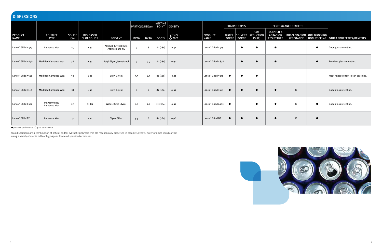| <b>DISPERSIONS</b>            |                               |                      |                                 |                                           |                         |                |                                |                |  |                               |           |                      |                                                          |                                                              |                   |                            |                                          |
|-------------------------------|-------------------------------|----------------------|---------------------------------|-------------------------------------------|-------------------------|----------------|--------------------------------|----------------|--|-------------------------------|-----------|----------------------|----------------------------------------------------------|--------------------------------------------------------------|-------------------|----------------------------|------------------------------------------|
|                               |                               |                      |                                 |                                           | <b>PARTICLE SIZE µm</b> |                | <b>MELTING</b><br><b>POINT</b> | <b>DENSITY</b> |  |                               |           | <b>COATING TYPES</b> |                                                          | <b>PERFORMANCE BENEFITS</b>                                  |                   |                            |                                          |
| <b>PRODUCT</b><br><b>NAME</b> | <b>POLYMER</b><br><b>TYPE</b> | <b>SOLIDS</b><br>(%) | <b>BIO-BASED</b><br>% OF SOLIDS | <b>SOLVENT</b>                            | <b>DV50</b>             | <b>DV90</b>    | $^{\circ}$ C ( $^{\circ}$ F)   | g/cm3<br>@20°C |  | <b>PRODUCT</b><br><b>NAME</b> |           | <b>BORNE</b> BORNE   | <b>COF</b><br><b>WATER- SOLVENT- REDUCTION</b><br>(SLIP) | <b>SCRATCH &amp;</b><br><b>ABRASION</b><br><b>RESISTANCE</b> | <b>RESISTANCE</b> | RUB/ABRASION ANTI-BLOCKING | NON-STICKING   OTHER PROPERTIES/BENEFITS |
| Lanco <sup>™</sup> Glidd 4415 | Carnauba Wax                  | 15                   | $\geq 90$                       | Alcohol, Glycol Ether,<br>Aromatic 150 ND | 3                       | 6              | 82 (180)                       | 0.91           |  | Lanco <sup>™</sup> Glidd 4415 |           |                      |                                                          |                                                              |                   | $\bullet$                  | Good gloss retention.                    |
| Lanco <sup>™</sup> Glidd 4838 | <b>Modified Carnauba Wax</b>  | 38                   | $\geq 90$                       | <b>Butyl Glycol/Isobutanol</b>            | $\overline{3}$          | 7.5            | 82 (180)                       | 0.92           |  | Lanco <sup>™</sup> Glidd 4838 |           |                      |                                                          |                                                              |                   | $\bullet$                  | Excellent gloss retention.               |
| Lanco <sup>™</sup> Glidd 5350 | Modified Carnauba Wax         | 30                   | $\geq 90$                       | <b>Butyl Glycol</b>                       | 3.5                     | 6.5            | 82 (180)                       | 0.91           |  | Lanco <sup>™</sup> Glidd 5350 | - 0       |                      | 0                                                        |                                                              |                   |                            | Meat release effect in can coatings.     |
| Lanco <sup>™</sup> Glidd 5518 | <b>Modified Carnauba Wax</b>  | 18                   | $\geq 90$                       | <b>Butyl Glycol</b>                       | $\overline{\mathbf{3}}$ | $\overline{7}$ | 82 (180)                       | 0.92           |  | Lanco <sup>™</sup> Glidd 5518 |           |                      | $\bullet$                                                | $\bullet$                                                    | $\circ$           |                            | Good gloss retention.                    |
| Lanco <sup>™</sup> Glidd 6502 | Polyethylene/<br>Carnauba Wax | 27                   | 51-89                           | Water/Butyl Glycol                        | 4.5                     | 9.5            | 112(234)                       | 0.97           |  | Lanco™ Glidd 6502             | $\bullet$ |                      | $\bullet$                                                | $\bullet$                                                    | $\circ$           | $\bullet$                  | Good gloss retention.                    |
| Lanco <sup>™</sup> Glidd BT   | Carnauba Wax                  | 15                   | $\geq 90$                       | <b>Glycol Ether</b>                       | 3.5                     | 8              | 82 (180)                       | 0.96           |  | Lanco <sup>™</sup> Glidd BT   | $\bullet$ | $\bullet$            | $\bullet$                                                | $\bullet$                                                    | $\circ$           | $\bullet$                  |                                          |

● premium performance ○ good performance

Wax dispersions are a combination of natural and/or synthetic polymers that are mechanically dispersed in organic solvents, water or other liquid carriers using a variety of media mills or high-speed Cowles dispersion techniques.

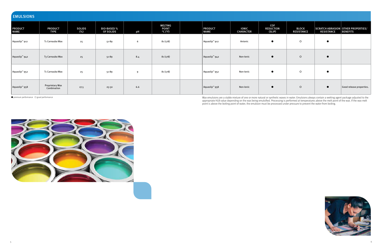| <b>EMULSIONS</b>                  |                                       |                      |                                 |     |                                                                |  |                                   |                                  |                                   |                                   |                   |                                                              |
|-----------------------------------|---------------------------------------|----------------------|---------------------------------|-----|----------------------------------------------------------------|--|-----------------------------------|----------------------------------|-----------------------------------|-----------------------------------|-------------------|--------------------------------------------------------------|
| <b>PRODUCT</b><br>NAME            | <b>PRODUCT</b><br><b>TYPE</b>         | <b>SOLIDS</b><br>(%) | <b>BIO-BASED %</b><br>OF SOLIDS | pH  | <b>MELTING</b><br><b>POINT</b><br>$^{\circ}$ C ( $^{\circ}$ F) |  | <b>PRODUCT</b><br><b>NAME</b>     | <b>IONIC</b><br><b>CHARACTER</b> | COF<br><b>REDUCTION</b><br>(SLIP) | <b>BLOCK</b><br><b>RESISTANCE</b> | <b>RESISTANCE</b> | <b>SCRATCH ABRASION OTHER PROPERTIES/</b><br><b>BENEFITS</b> |
| Aquaslip <sup>™</sup> 912         | T1 Carnauba Wax                       | 25                   | 51-89                           | 6   | 81(178)                                                        |  | Aquaslip™ 912                     | Anionic                          | $\bullet$                         | $\circ$                           |                   |                                                              |
| Aquaslip <sup>™</sup> 942         | T3 Carnauba Wax                       | 25                   | 51-89                           | 8.4 | 81(178)                                                        |  | $\vert$ Aquaslip <sup>1</sup> 942 | Non-Ionic                        | $\bullet$                         | $\circ$                           | $\bullet$         |                                                              |
| $\vert$ Aquaslip <sup>1</sup> 952 | T1 Carnauba Wax                       | 25                   | 51-89                           | 9   | 81(178)                                                        |  | $\vert$ Aquaslip <sup>1</sup> 952 | Non-Ionic                        | $\bullet$                         | $\circ$                           | $\bullet$         |                                                              |
| Aquaslip <sup>™</sup> 958         | <b>Proprietary Wax</b><br>Combination | 27.5                 | 25-50                           | 6.6 |                                                                |  | $\vert$ Aquaslip <sup>1</sup> 958 | Non-Ionic                        | $\bullet$                         | $\circ$                           | $\bullet$         | Good release properties.                                     |

● premium performance ○ good performance

Wax emulsions are a stable mixture of one or more natural or synthetic waxes in water. Emulsions always contain a wetting agent package adjusted to the appropriate HLB value depending on the wax being emulsified. Processing is performed at temperatures above the melt point of the wax. If the wax melt point is above the boiling point of water, the emulsion must be processed under pressure to prevent the water from boiling.